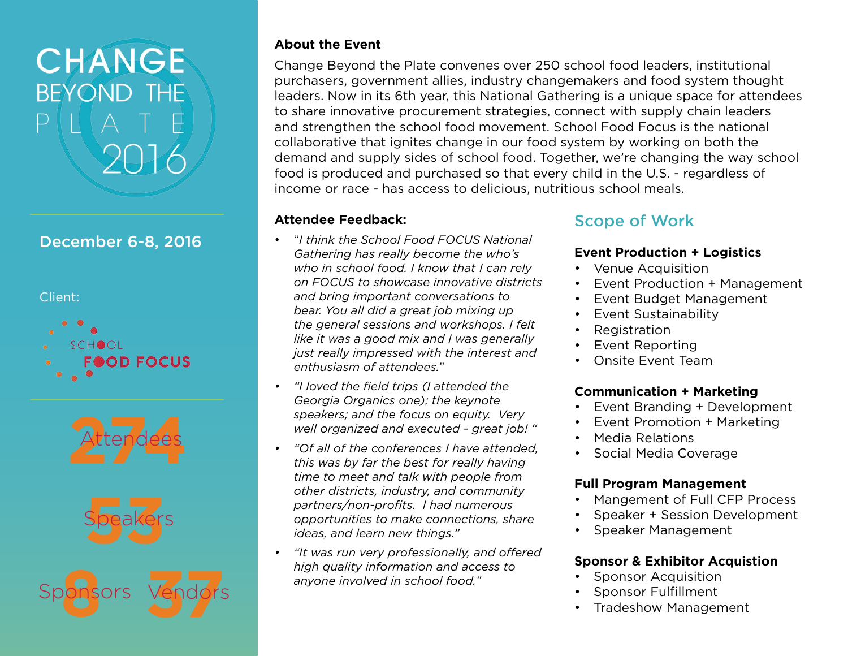# CHANGE **BEYOND THE**  $\mathsf{H} \mathsf{A}$  T

# December 6-8, 2016

Client:







Sponsors **8**

### **About the Event**

Change Beyond the Plate convenes over 250 school food leaders, institutional purchasers, government allies, industry changemakers and food system thought leaders. Now in its 6th year, this National Gathering is a unique space for attendees to share innovative procurement strategies, connect with supply chain leaders and strengthen the school food movement. School Food Focus is the national collaborative that ignites change in our food system by working on both the demand and supply sides of school food. Together, we're changing the way school food is produced and purchased so that every child in the U.S. - regardless of income or race - has access to delicious, nutritious school meals.

### **Attendee Feedback:**

- "*I think the School Food FOCUS National Gathering has really become the who's who in school food. I know that I can rely on FOCUS to showcase innovative districts and bring important conversations to bear. You all did a great job mixing up the general sessions and workshops. I felt like it was a good mix and I was generally just really impressed with the interest and enthusiasm of attendees.*"
- *• "I loved the field trips (I attended the Georgia Organics one); the keynote speakers; and the focus on equity. Very well organized and executed - great job! "*
- *• "Of all of the conferences I have attended, this was by far the best for really having time to meet and talk with people from other districts, industry, and community partners/non-profits. I had numerous opportunities to make connections, share ideas, and learn new things."*
- *• "It was run very professionally, and offered high quality information and access to*  **111911 Quality information and accurate**<br>
37 anyone involved in school food."

# Scope of Work

### **Event Production + Logistics**

- Venue Acquisition
- Event Production + Management
- Event Budget Management
- Event Sustainability
- **Registration**
- Event Reporting
- Onsite Event Team

### **Communication + Marketing**

- Event Branding + Development
- Event Promotion + Marketing
- Media Relations
- Social Media Coverage

### **Full Program Management**

- Mangement of Full CFP Process
- Speaker + Session Development
- Speaker Management

### **Sponsor & Exhibitor Acquistion**

- Sponsor Acquisition
- Sponsor Fulfillment
- Tradeshow Management